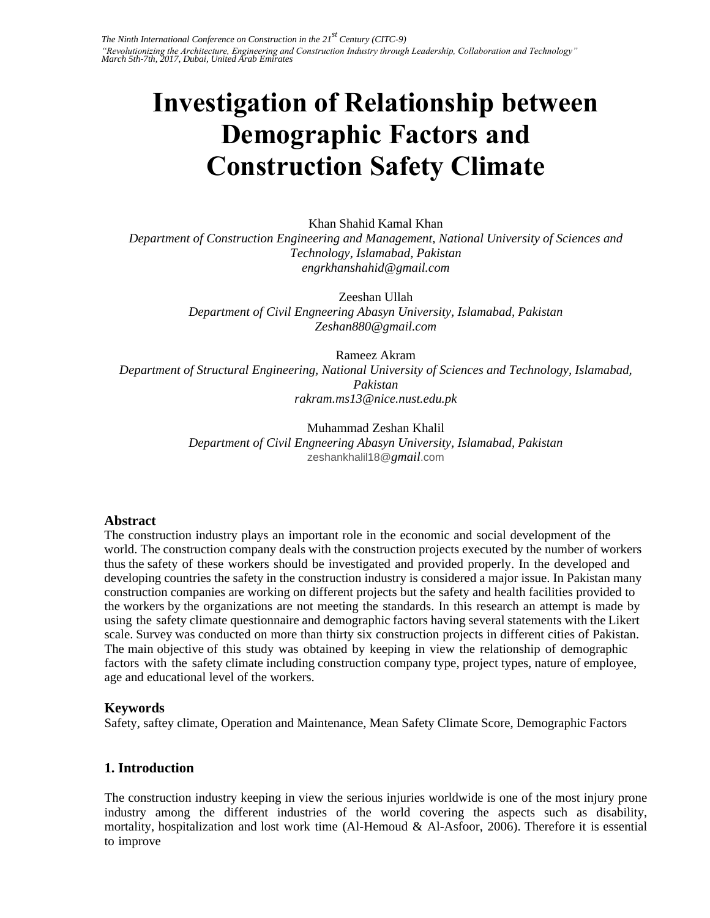# **Investigation of Relationship between Demographic Factors and Construction Safety Climate**

Khan Shahid Kamal Khan *Department of Construction Engineering and Management, National University of Sciences and Technology, Islamabad, Pakistan engrkhanshahid@gmail.com* 

> Zeeshan Ullah *Department of Civil Engneering Abasyn University, Islamabad, Pakistan Zeshan880@gmail.com*

> > Rameez Akram

*Department of Structural Engineering, National University of Sciences and Technology, Islamabad, Pakistan rakram.ms13@nice.nust.edu.pk* 

> Muhammad Zeshan Khalil *Department of Civil Engneering Abasyn University, Islamabad, Pakistan*  zeshankhalil18@*gmail*.com

#### **Abstract**

The construction industry plays an important role in the economic and social development of the world. The construction company deals with the construction projects executed by the number of workers thus the safety of these workers should be investigated and provided properly. In the developed and developing countries the safety in the construction industry is considered a major issue. In Pakistan many construction companies are working on different projects but the safety and health facilities provided to the workers by the organizations are not meeting the standards. In this research an attempt is made by using the safety climate questionnaire and demographic factors having several statements with the Likert scale. Survey was conducted on more than thirty six construction projects in different cities of Pakistan. The main objective of this study was obtained by keeping in view the relationship of demographic factors with the safety climate including construction company type, project types, nature of employee, age and educational level of the workers.

## **Keywords**

Safety, saftey climate, Operation and Maintenance, Mean Safety Climate Score, Demographic Factors

# **1. Introduction**

The construction industry keeping in view the serious injuries worldwide is one of the most injury prone industry among the different industries of the world covering the aspects such as disability, mortality, hospitalization and lost work time (Al-Hemoud & Al-Asfoor, 2006). Therefore it is essential to improve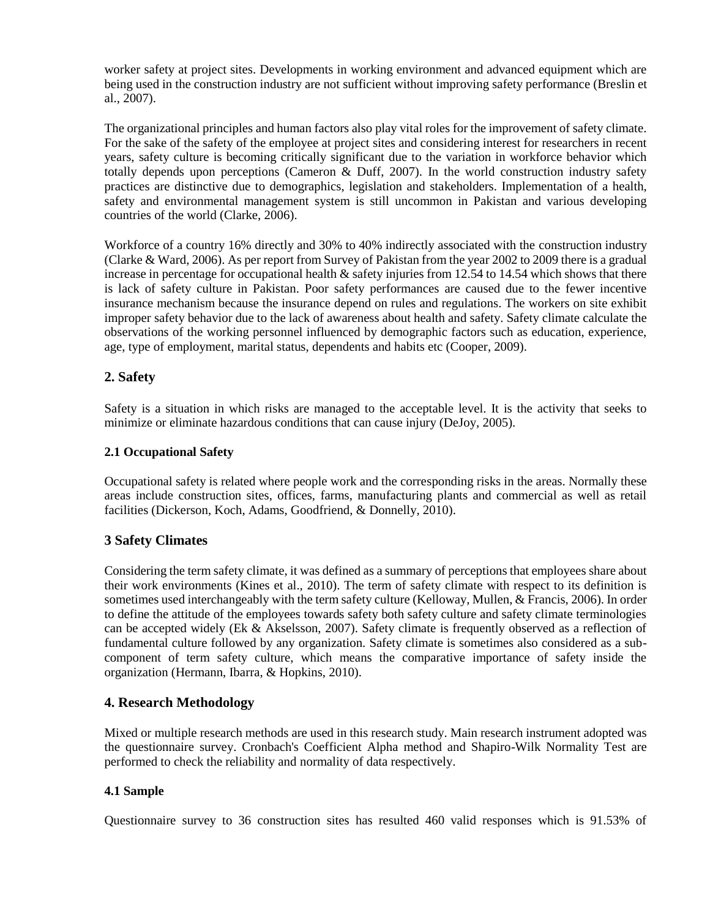worker safety at project sites. Developments in working environment and advanced equipment which are being used in the construction industry are not sufficient without improving safety performance (Breslin et al., 2007).

The organizational principles and human factors also play vital roles for the improvement of safety climate. For the sake of the safety of the employee at project sites and considering interest for researchers in recent years, safety culture is becoming critically significant due to the variation in workforce behavior which totally depends upon perceptions (Cameron  $\&$  Duff, 2007). In the world construction industry safety practices are distinctive due to demographics, legislation and stakeholders. Implementation of a health, safety and environmental management system is still uncommon in Pakistan and various developing countries of the world (Clarke, 2006).

Workforce of a country 16% directly and 30% to 40% indirectly associated with the construction industry (Clarke & Ward, 2006). As per report from Survey of Pakistan from the year 2002 to 2009 there is a gradual increase in percentage for occupational health  $\&$  safety injuries from 12.54 to 14.54 which shows that there is lack of safety culture in Pakistan. Poor safety performances are caused due to the fewer incentive insurance mechanism because the insurance depend on rules and regulations. The workers on site exhibit improper safety behavior due to the lack of awareness about health and safety. Safety climate calculate the observations of the working personnel influenced by demographic factors such as education, experience, age, type of employment, marital status, dependents and habits etc (Cooper, 2009).

# **2. Safety**

Safety is a situation in which risks are managed to the acceptable level. It is the activity that seeks to minimize or eliminate hazardous conditions that can cause injury (DeJoy, 2005).

#### **2.1 Occupational Safety**

Occupational safety is related where people work and the corresponding risks in the areas. Normally these areas include construction sites, offices, farms, manufacturing plants and commercial as well as retail facilities (Dickerson, Koch, Adams, Goodfriend, & Donnelly, 2010).

## **3 Safety Climates**

Considering the term safety climate, it was defined as a summary of perceptions that employees share about their work environments (Kines et al., 2010). The term of safety climate with respect to its definition is sometimes used interchangeably with the term safety culture (Kelloway, Mullen, & Francis, 2006). In order to define the attitude of the employees towards safety both safety culture and safety climate terminologies can be accepted widely (Ek & Akselsson, 2007). Safety climate is frequently observed as a reflection of fundamental culture followed by any organization. Safety climate is sometimes also considered as a subcomponent of term safety culture, which means the comparative importance of safety inside the organization (Hermann, Ibarra, & Hopkins, 2010).

## **4. Research Methodology**

Mixed or multiple research methods are used in this research study. Main research instrument adopted was the questionnaire survey. Cronbach's Coefficient Alpha method and Shapiro-Wilk Normality Test are performed to check the reliability and normality of data respectively.

#### **4.1 Sample**

Questionnaire survey to 36 construction sites has resulted 460 valid responses which is 91.53% of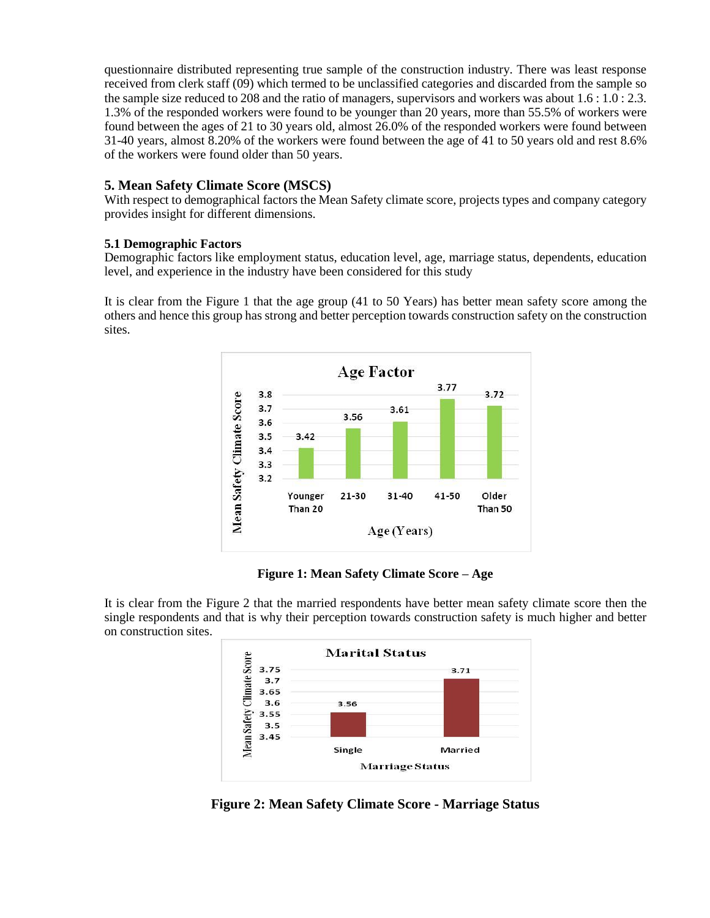questionnaire distributed representing true sample of the construction industry. There was least response received from clerk staff (09) which termed to be unclassified categories and discarded from the sample so the sample size reduced to 208 and the ratio of managers, supervisors and workers was about 1.6 : 1.0 : 2.3. 1.3% of the responded workers were found to be younger than 20 years, more than 55.5% of workers were found between the ages of 21 to 30 years old, almost 26.0% of the responded workers were found between 31-40 years, almost 8.20% of the workers were found between the age of 41 to 50 years old and rest 8.6% of the workers were found older than 50 years.

## **5. Mean Safety Climate Score (MSCS)**

With respect to demographical factors the Mean Safety climate score, projects types and company category provides insight for different dimensions.

#### **5.1 Demographic Factors**

Demographic factors like employment status, education level, age, marriage status, dependents, education level, and experience in the industry have been considered for this study

It is clear from the Figure 1 that the age group (41 to 50 Years) has better mean safety score among the others and hence this group has strong and better perception towards construction safety on the construction sites.



## **Figure 1: Mean Safety Climate Score – Age**

It is clear from the Figure 2 that the married respondents have better mean safety climate score then the single respondents and that is why their perception towards construction safety is much higher and better on construction sites.



**Figure 2: Mean Safety Climate Score - Marriage Status**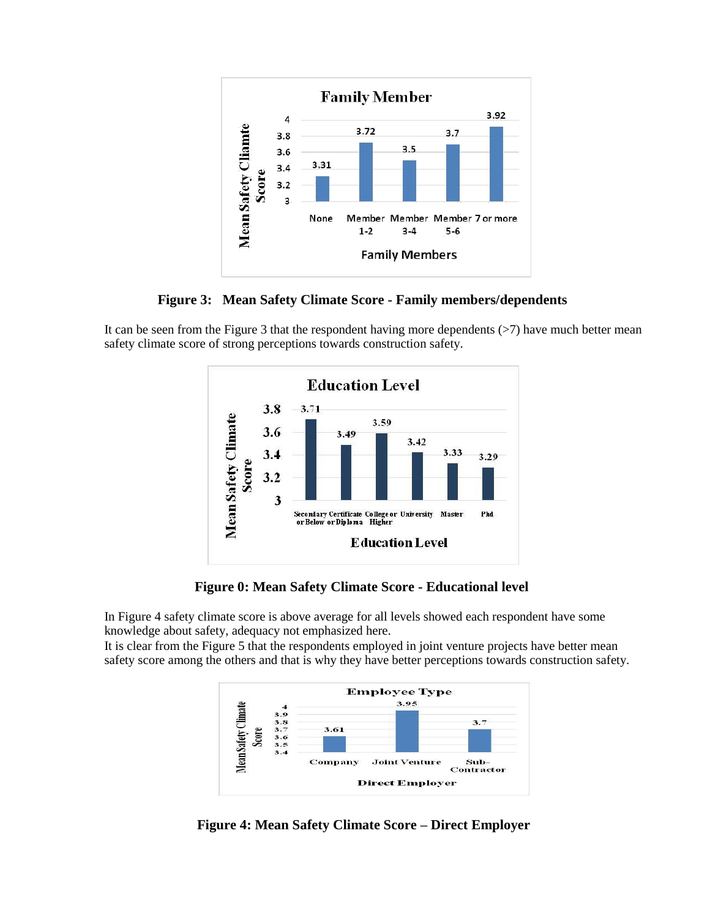

**Figure 3: Mean Safety Climate Score - Family members/dependents**

It can be seen from the Figure 3 that the respondent having more dependents  $($ >7) have much better mean safety climate score of strong perceptions towards construction safety.



**Figure 0: Mean Safety Climate Score - Educational level**

In Figure 4 safety climate score is above average for all levels showed each respondent have some knowledge about safety, adequacy not emphasized here.

It is clear from the Figure 5 that the respondents employed in joint venture projects have better mean safety score among the others and that is why they have better perceptions towards construction safety.



**Figure 4: Mean Safety Climate Score – Direct Employer**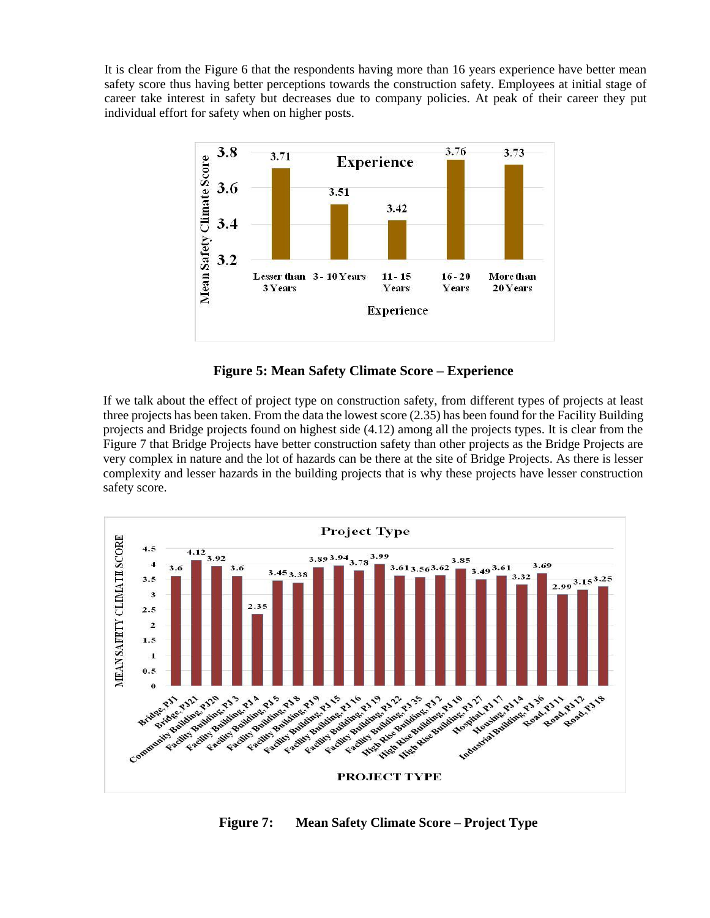It is clear from the Figure 6 that the respondents having more than 16 years experience have better mean safety score thus having better perceptions towards the construction safety. Employees at initial stage of career take interest in safety but decreases due to company policies. At peak of their career they put individual effort for safety when on higher posts.



**Figure 5: Mean Safety Climate Score – Experience**

If we talk about the effect of project type on construction safety, from different types of projects at least three projects has been taken. From the data the lowest score (2.35) has been found for the Facility Building projects and Bridge projects found on highest side (4.12) among all the projects types. It is clear from the Figure 7 that Bridge Projects have better construction safety than other projects as the Bridge Projects are very complex in nature and the lot of hazards can be there at the site of Bridge Projects. As there is lesser complexity and lesser hazards in the building projects that is why these projects have lesser construction safety score.



**Figure 7: Mean Safety Climate Score – Project Type**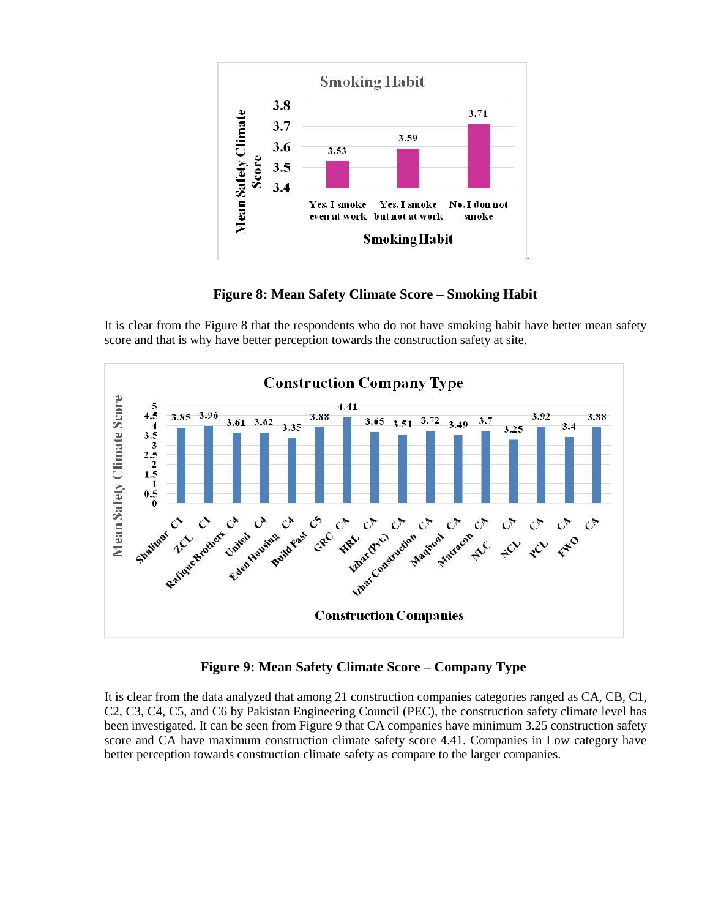

**Figure 8: Mean Safety Climate Score – Smoking Habit**

It is clear from the Figure 8 that the respondents who do not have smoking habit have better mean safety score and that is why have better perception towards the construction safety at site.



**Figure 9: Mean Safety Climate Score – Company Type**

It is clear from the data analyzed that among 21 construction companies categories ranged as CA, CB, C1, C2, C3, C4, C5, and C6 by Pakistan Engineering Council (PEC), the construction safety climate level has been investigated. It can be seen from Figure 9 that CA companies have minimum 3.25 construction safety score and CA have maximum construction climate safety score 4.41. Companies in Low category have better perception towards construction climate safety as compare to the larger companies.